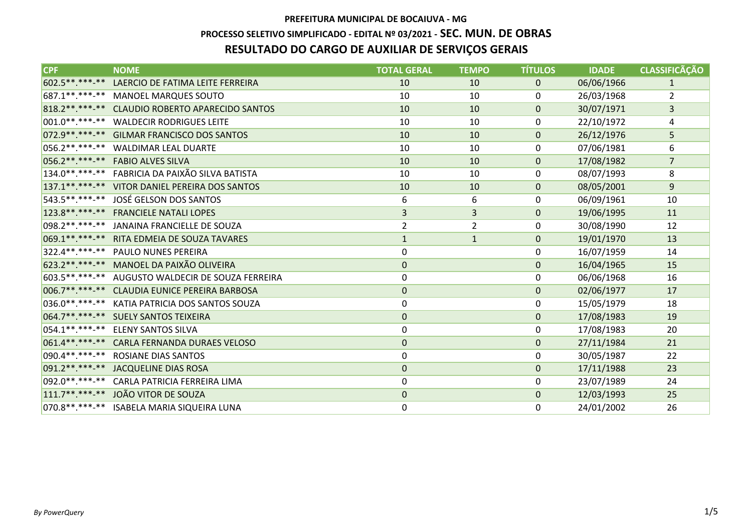# **PREFEITURA MUNICIPAL DE BOCAIUVA - MG PROCESSO SELETIVO SIMPLIFICADO - EDITAL Nº 03/2021 - SEC. MUN. DE OBRASRESULTADO DO CARGO DE AUXILIAR DE SERVIÇOS GERAIS**

| <b>CPF</b>          | <b>NOME</b>                                        | <b>TOTAL GERAL</b> | <b>TEMPO</b>   | <b>TÍTULOS</b> | <b>IDADE</b> | <b>CLASSIFICÃÇÃO</b> |
|---------------------|----------------------------------------------------|--------------------|----------------|----------------|--------------|----------------------|
| 602.5 ** *** -**    | LAERCIO DE FATIMA LEITE FERREIRA                   | 10                 | 10             | $\pmb{0}$      | 06/06/1966   | $\mathbf{1}$         |
|                     | 687.1**.***-** MANOEL MARQUES SOUTO                | 10                 | 10             | 0              | 26/03/1968   | 2                    |
|                     | 818.2 **. ***- ** CLAUDIO ROBERTO APARECIDO SANTOS | 10                 | 10             | $\mathbf{0}$   | 30/07/1971   | $\mathsf{3}$         |
| $001.0******$       | <b>WALDECIR RODRIGUES LEITE</b>                    | 10                 | 10             | 0              | 22/10/1972   | 4                    |
|                     | 072.9 ** .*** -** GILMAR FRANCISCO DOS SANTOS      | 10                 | 10             | $\mathbf{0}$   | 26/12/1976   | 5                    |
| $056.2*********$    | <b>WALDIMAR LEAL DUARTE</b>                        | 10                 | 10             | 0              | 07/06/1981   | 6                    |
|                     | 056.2**.***-** FABIO ALVES SILVA                   | 10                 | 10             | $\mathbf 0$    | 17/08/1982   | $\overline{7}$       |
|                     | 134.0**.***-** FABRICIA DA PAIXÃO SILVA BATISTA    | 10                 | 10             | 0              | 08/07/1993   | 8                    |
|                     | 137.1**.***-** VITOR DANIEL PEREIRA DOS SANTOS     | 10                 | 10             | $\mathbf 0$    | 08/05/2001   | 9                    |
| 543.5 **. ***-**    | JOSÉ GELSON DOS SANTOS                             | 6                  | 6              | 0              | 06/09/1961   | 10                   |
|                     | 123.8**.***-** FRANCIELE NATALI LOPES              | $\overline{3}$     | $\overline{3}$ | $\overline{0}$ | 19/06/1995   | 11                   |
| $098.2*********$    | JANAINA FRANCIELLE DE SOUZA                        | $\overline{2}$     | $\overline{2}$ | 0              | 30/08/1990   | 12                   |
|                     | 069.1**.***-** RITA EDMEIA DE SOUZA TAVARES        | $\mathbf{1}$       | $\mathbf{1}$   | $\mathbf{0}$   | 19/01/1970   | 13                   |
| 322.4 ** ** * * * * | <b>PAULO NUNES PEREIRA</b>                         | $\mathbf 0$        |                | 0              | 16/07/1959   | 14                   |
|                     | 623.2**.***-** MANOEL DA PAIXÃO OLIVEIRA           | $\mathbf 0$        |                | $\mathbf 0$    | 16/04/1965   | 15                   |
|                     | 603.5**.***-** AUGUSTO WALDECIR DE SOUZA FERREIRA  | $\mathbf 0$        |                | 0              | 06/06/1968   | 16                   |
| 006.7**.***-**      | <b>CLAUDIA EUNICE PEREIRA BARBOSA</b>              | $\mathbf 0$        |                | $\mathbf 0$    | 02/06/1977   | 17                   |
|                     | 036.0**.***-** KATIA PATRICIA DOS SANTOS SOUZA     | $\boldsymbol{0}$   |                | 0              | 15/05/1979   | 18                   |
|                     | 064.7**.***-** SUELY SANTOS TEIXEIRA               | $\mathbf 0$        |                | $\mathbf 0$    | 17/08/1983   | 19                   |
| 054.1**.***-**      | <b>ELENY SANTOS SILVA</b>                          | 0                  |                | 0              | 17/08/1983   | 20                   |
| 061.4**.***-**      | <b>CARLA FERNANDA DURAES VELOSO</b>                | $\mathbf 0$        |                | $\mathbf{0}$   | 27/11/1984   | 21                   |
| 090.4**.***-**      | ROSIANE DIAS SANTOS                                | $\boldsymbol{0}$   |                | 0              | 30/05/1987   | 22                   |
|                     | 091.2**.***-** JACQUELINE DIAS ROSA                | $\boldsymbol{0}$   |                | $\mathbf 0$    | 17/11/1988   | 23                   |
|                     | 092.0**.***-** CARLA PATRICIA FERREIRA LIMA        | 0                  |                | 0              | 23/07/1989   | 24                   |
| $111.7******$       | JOÃO VITOR DE SOUZA                                | $\boldsymbol{0}$   |                | $\mathbf 0$    | 12/03/1993   | 25                   |
|                     | 070.8 **. ***-** ISABELA MARIA SIQUEIRA LUNA       | 0                  |                | 0              | 24/01/2002   | 26                   |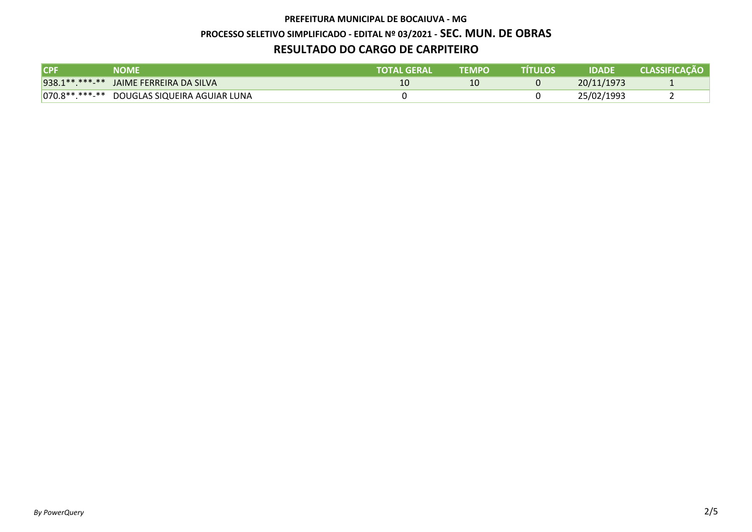#### **PREFEITURA MUNICIPAL DE BOCAIUVA - MG**

#### **PROCESSO SELETIVO SIMPLIFICADO - EDITAL Nº 03/2021 - SEC. MUN. DE OBRAS**

## **RESULTADO DO CARGO DE CARPITEIRO**

| <b>CPF</b> | <b>NOME</b>                                 | TOTAL GERAL | <b>TEMPO</b> | TÍTULOS | <b>IDADE</b> | <b>CLASSIFICACÃO</b> |
|------------|---------------------------------------------|-------------|--------------|---------|--------------|----------------------|
|            | 938.1**.***-** JAIME FERREIRA DA SILVA      |             |              |         | 20/11/1973   |                      |
|            | 070.8**.***-** DOUGLAS SIQUEIRA AGUIAR LUNA |             |              |         | 25/02/1993   |                      |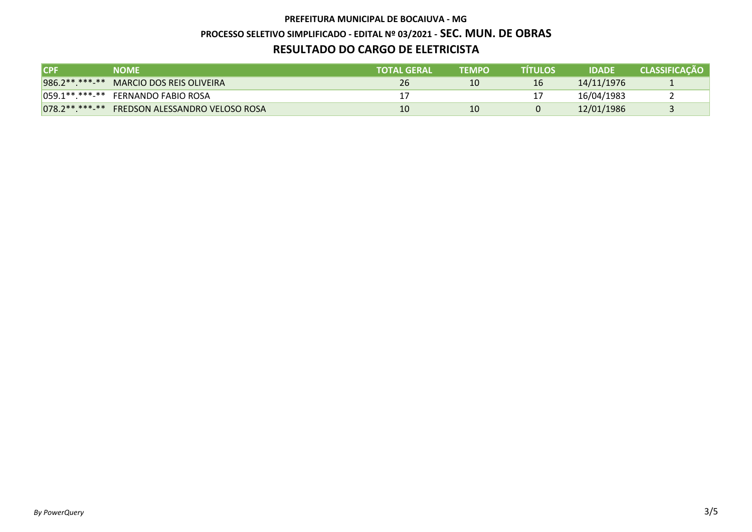## **PREFEITURA MUNICIPAL DE BOCAIUVA - MG PROCESSO SELETIVO SIMPLIFICADO - EDITAL Nº 03/2021 - SEC. MUN. DE OBRASRESULTADO DO CARGO DE ELETRICISTA**

| <b>ICPF</b> | <b>NOME</b>                                   | <b>TOTAL GERAL</b> | <b>TEMPO</b> | TÍTULOS | <b>IDADE</b> | <b>CLASSIFICACÃO</b> |
|-------------|-----------------------------------------------|--------------------|--------------|---------|--------------|----------------------|
|             | 986.2**.***-** MARCIO DOS REIS OLIVEIRA       | 26                 | 10           | 16      | 14/11/1976   | л.                   |
|             | 059.1**.***-** FERNANDO FABIO ROSA            |                    |              |         | 16/04/1983   |                      |
|             | 078.2**.***-** FREDSON ALESSANDRO VELOSO ROSA | 10                 | 10           |         | 12/01/1986   |                      |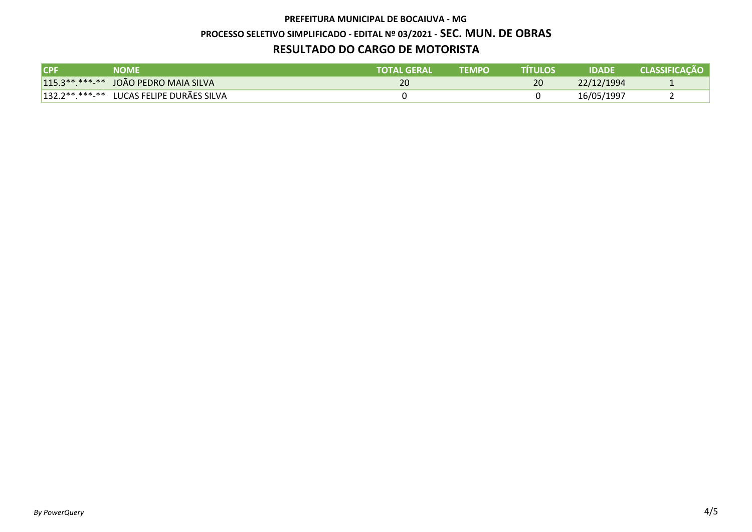#### **PREFEITURA MUNICIPAL DE BOCAIUVA - MG**

#### **PROCESSO SELETIVO SIMPLIFICADO - EDITAL Nº 03/2021 - SEC. MUN. DE OBRAS**

## **RESULTADO DO CARGO DE MOTORISTA**

| <b>CPF</b> | NOME                                     | TOTAL GERAL | <b>TEMPO</b> | TÍTULOS | <b>IDADE</b> | <b>CLASSIFICACÃO</b> |
|------------|------------------------------------------|-------------|--------------|---------|--------------|----------------------|
|            | 115.3 **. *** - ** JOÃO PEDRO MAIA SILVA | 20          |              | 20      | 22/12/1994   |                      |
|            | 132.2**.***-** LUCAS FELIPE DURÃES SILVA |             |              |         | 16/05/1997   |                      |